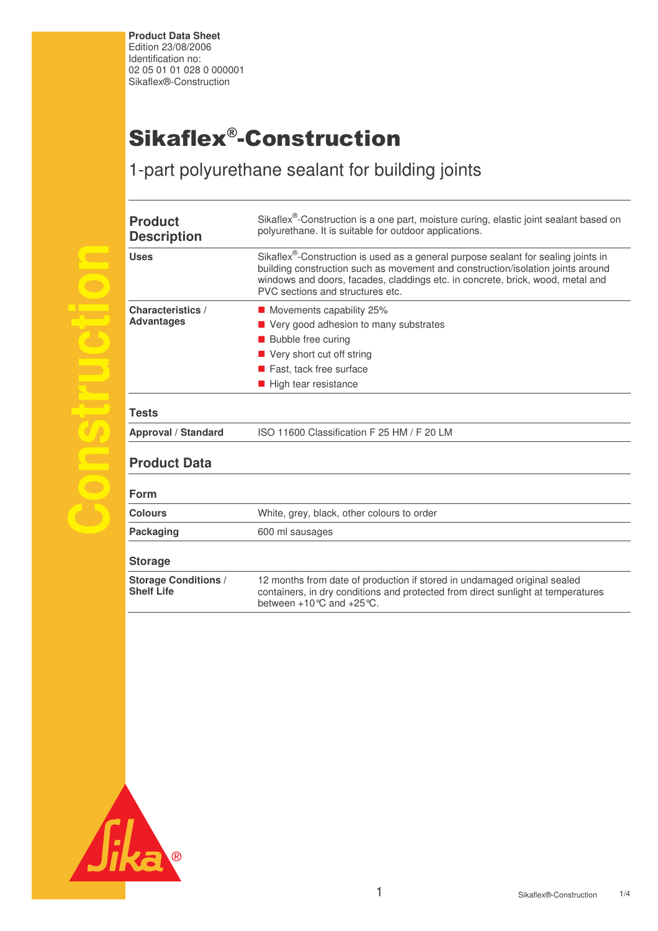**Product Data Sheet** Edition 23/08/2006 Identification no: 02 05 01 01 028 0 000001 Sikaflex®-Construction

## Sikaflex®-Construction

1-part polyurethane sealant for building joints

| <b>Product</b><br><b>Description</b>             | Sikaflex <sup>®</sup> -Construction is a one part, moisture curing, elastic joint sealant based on<br>polyurethane. It is suitable for outdoor applications.                                                                                                                                            |  |  |
|--------------------------------------------------|---------------------------------------------------------------------------------------------------------------------------------------------------------------------------------------------------------------------------------------------------------------------------------------------------------|--|--|
| <b>Uses</b>                                      | Sikaflex <sup>®</sup> -Construction is used as a general purpose sealant for sealing joints in<br>building construction such as movement and construction/isolation joints around<br>windows and doors, facades, claddings etc. in concrete, brick, wood, metal and<br>PVC sections and structures etc. |  |  |
| <b>Characteristics /</b>                         | Movements capability 25%                                                                                                                                                                                                                                                                                |  |  |
| <b>Advantages</b>                                | ■ Very good adhesion to many substrates                                                                                                                                                                                                                                                                 |  |  |
|                                                  | <b>Bubble free curing</b>                                                                                                                                                                                                                                                                               |  |  |
|                                                  | ■ Very short cut off string                                                                                                                                                                                                                                                                             |  |  |
|                                                  | Fast, tack free surface                                                                                                                                                                                                                                                                                 |  |  |
|                                                  | High tear resistance                                                                                                                                                                                                                                                                                    |  |  |
| <b>Tests</b>                                     |                                                                                                                                                                                                                                                                                                         |  |  |
| Approval / Standard                              | ISO 11600 Classification F 25 HM / F 20 LM                                                                                                                                                                                                                                                              |  |  |
| <b>Product Data</b>                              |                                                                                                                                                                                                                                                                                                         |  |  |
| Form                                             |                                                                                                                                                                                                                                                                                                         |  |  |
| <b>Colours</b>                                   | White, grey, black, other colours to order                                                                                                                                                                                                                                                              |  |  |
| <b>Packaging</b>                                 | 600 ml sausages                                                                                                                                                                                                                                                                                         |  |  |
| <b>Storage</b>                                   |                                                                                                                                                                                                                                                                                                         |  |  |
| <b>Storage Conditions /</b><br><b>Shelf Life</b> | 12 months from date of production if stored in undamaged original sealed<br>containers, in dry conditions and protected from direct sunlight at temperatures<br>between +10 °C and +25 °C.                                                                                                              |  |  |
|                                                  |                                                                                                                                                                                                                                                                                                         |  |  |
|                                                  |                                                                                                                                                                                                                                                                                                         |  |  |



**s**

**r**

**i**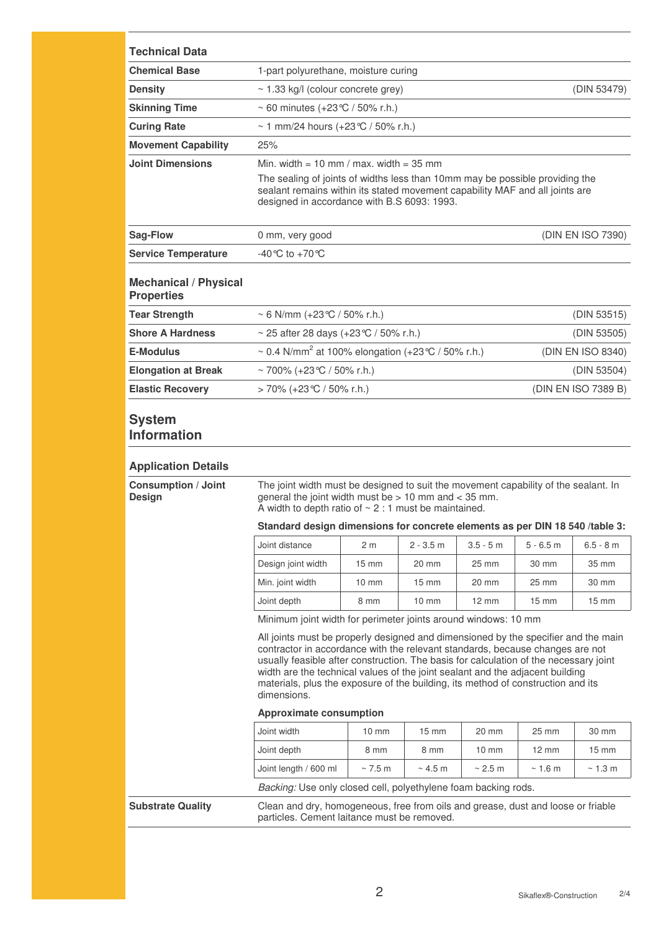| <b>Technical Data</b>                             |                                                                                                                                                                                                                                                                                                                                                                                                                                                                                    |                 |                 |                   |                 |                     |
|---------------------------------------------------|------------------------------------------------------------------------------------------------------------------------------------------------------------------------------------------------------------------------------------------------------------------------------------------------------------------------------------------------------------------------------------------------------------------------------------------------------------------------------------|-----------------|-----------------|-------------------|-----------------|---------------------|
| <b>Chemical Base</b>                              | 1-part polyurethane, moisture curing                                                                                                                                                                                                                                                                                                                                                                                                                                               |                 |                 |                   |                 |                     |
| <b>Density</b>                                    | $\sim$ 1.33 kg/l (colour concrete grey)<br>(DIN 53479)                                                                                                                                                                                                                                                                                                                                                                                                                             |                 |                 |                   |                 |                     |
| <b>Skinning Time</b>                              | ~ 60 minutes $(+23^{\circ}C / 50\%$ r.h.)                                                                                                                                                                                                                                                                                                                                                                                                                                          |                 |                 |                   |                 |                     |
| <b>Curing Rate</b>                                | ~ 1 mm/24 hours $(+23^{\circ}\text{C} / 50\% \text{ r.h.})$                                                                                                                                                                                                                                                                                                                                                                                                                        |                 |                 |                   |                 |                     |
| <b>Movement Capability</b>                        | 25%                                                                                                                                                                                                                                                                                                                                                                                                                                                                                |                 |                 |                   |                 |                     |
| <b>Joint Dimensions</b>                           | Min. width = 10 mm / max. width = 35 mm<br>The sealing of joints of widths less than 10mm may be possible providing the<br>sealant remains within its stated movement capability MAF and all joints are<br>designed in accordance with B.S 6093: 1993.                                                                                                                                                                                                                             |                 |                 |                   |                 |                     |
| Sag-Flow                                          | (DIN EN ISO 7390)<br>0 mm, very good                                                                                                                                                                                                                                                                                                                                                                                                                                               |                 |                 |                   |                 |                     |
| <b>Service Temperature</b>                        | -40 °C to +70 °C                                                                                                                                                                                                                                                                                                                                                                                                                                                                   |                 |                 |                   |                 |                     |
| <b>Mechanical / Physical</b><br><b>Properties</b> |                                                                                                                                                                                                                                                                                                                                                                                                                                                                                    |                 |                 |                   |                 |                     |
| <b>Tear Strength</b>                              | ~ 6 N/mm (+23 °C / 50% r.h.)<br>(DIN 53515)                                                                                                                                                                                                                                                                                                                                                                                                                                        |                 |                 |                   |                 |                     |
| <b>Shore A Hardness</b>                           | ~ 25 after 28 days $(+23^{\circ}C / 50\%$ r.h.)<br>(DIN 53505)                                                                                                                                                                                                                                                                                                                                                                                                                     |                 |                 |                   |                 |                     |
| <b>E-Modulus</b>                                  | ~ 0.4 N/mm <sup>2</sup> at 100% elongation (+23 °C / 50% r.h.)<br>(DIN EN ISO 8340)                                                                                                                                                                                                                                                                                                                                                                                                |                 |                 |                   |                 |                     |
| <b>Elongation at Break</b>                        | ~ 700% (+23 °C / 50% r.h.)                                                                                                                                                                                                                                                                                                                                                                                                                                                         |                 |                 |                   | (DIN 53504)     |                     |
| <b>Elastic Recovery</b>                           | > 70% (+23 ℃ / 50% r.h.)                                                                                                                                                                                                                                                                                                                                                                                                                                                           |                 |                 |                   |                 | (DIN EN ISO 7389 B) |
| <b>System</b><br><b>Information</b>               |                                                                                                                                                                                                                                                                                                                                                                                                                                                                                    |                 |                 |                   |                 |                     |
| <b>Application Details</b>                        |                                                                                                                                                                                                                                                                                                                                                                                                                                                                                    |                 |                 |                   |                 |                     |
| <b>Consumption / Joint</b><br>Design              | The joint width must be designed to suit the movement capability of the sealant. In<br>general the joint width must be $> 10$ mm and $<$ 35 mm.<br>A width to depth ratio of $\sim$ 2 : 1 must be maintained.                                                                                                                                                                                                                                                                      |                 |                 |                   |                 |                     |
|                                                   | Standard design dimensions for concrete elements as per DIN 18 540 /table 3:                                                                                                                                                                                                                                                                                                                                                                                                       |                 |                 |                   |                 |                     |
|                                                   | Joint distance                                                                                                                                                                                                                                                                                                                                                                                                                                                                     | 2 <sub>m</sub>  | $2 - 3.5$ m     | $3.5 - 5m$        | $5 - 6.5$ m     | $6.5 - 8 m$         |
|                                                   | Design joint width                                                                                                                                                                                                                                                                                                                                                                                                                                                                 | $15 \text{ mm}$ | 20 mm           | 25 mm             | 30 mm           | 35 mm               |
|                                                   | Min. joint width                                                                                                                                                                                                                                                                                                                                                                                                                                                                   | $10 \text{ mm}$ | 15 mm           | 20 mm             | 25 mm           | 30 mm               |
|                                                   | Joint depth                                                                                                                                                                                                                                                                                                                                                                                                                                                                        | 8 mm            | $10 \text{ mm}$ | $12 \, \text{mm}$ | $15 \text{ mm}$ | $15 \text{ mm}$     |
|                                                   | Minimum joint width for perimeter joints around windows: 10 mm                                                                                                                                                                                                                                                                                                                                                                                                                     |                 |                 |                   |                 |                     |
|                                                   | All joints must be properly designed and dimensioned by the specifier and the main<br>contractor in accordance with the relevant standards, because changes are not<br>usually feasible after construction. The basis for calculation of the necessary joint<br>width are the technical values of the joint sealant and the adjacent building<br>materials, plus the exposure of the building, its method of construction and its<br>dimensions.<br><b>Approximate consumption</b> |                 |                 |                   |                 |                     |
|                                                   |                                                                                                                                                                                                                                                                                                                                                                                                                                                                                    |                 |                 |                   |                 |                     |
|                                                   | Joint width                                                                                                                                                                                                                                                                                                                                                                                                                                                                        | $10 \text{ mm}$ | 15 mm           | 20 mm             | 25 mm           | 30 mm               |
|                                                   | Joint depth                                                                                                                                                                                                                                                                                                                                                                                                                                                                        | 8 mm            | 8 mm            | $10 \text{ mm}$   | $12 \text{ mm}$ | $15 \text{ mm}$     |
|                                                   | Joint length / 600 ml                                                                                                                                                                                                                                                                                                                                                                                                                                                              | $\sim$ 7.5 m    | $\sim$ 4.5 m    | $\sim$ 2.5 m      | $\sim$ 1.6 m    | $\sim$ 1.3 m        |
|                                                   | Backing: Use only closed cell, polyethylene foam backing rods.                                                                                                                                                                                                                                                                                                                                                                                                                     |                 |                 |                   |                 |                     |
| <b>Substrate Quality</b>                          | Clean and dry, homogeneous, free from oils and grease, dust and loose or friable                                                                                                                                                                                                                                                                                                                                                                                                   |                 |                 |                   |                 |                     |

particles. Cement laitance must be removed.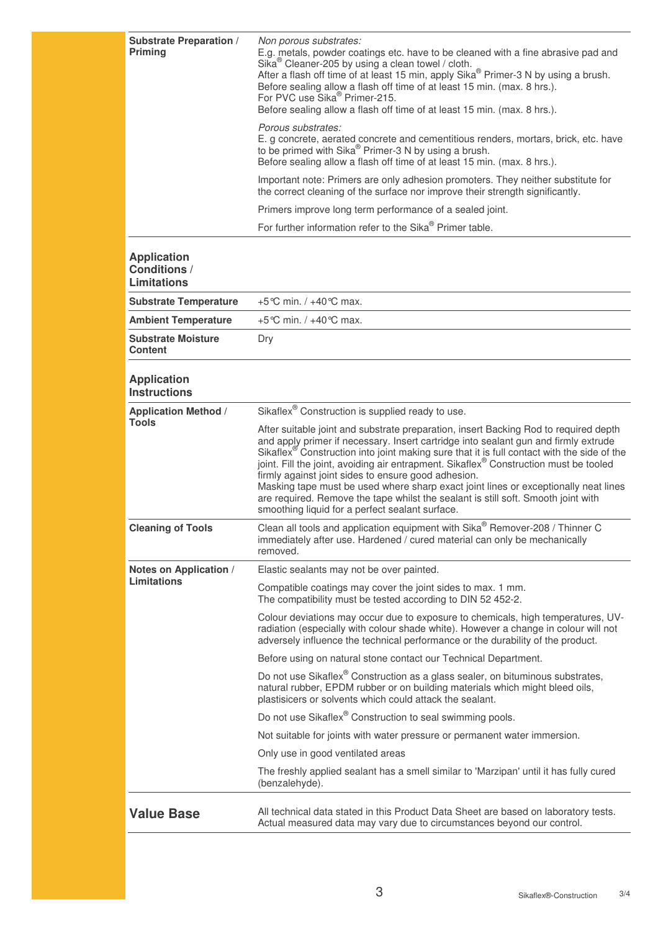| <b>Substrate Preparation /</b><br><b>Priming</b>                | Non porous substrates:<br>E.g. metals, powder coatings etc. have to be cleaned with a fine abrasive pad and<br>Sika <sup>®</sup> Cleaner-205 by using a clean towel / cloth.<br>After a flash off time of at least 15 min, apply Sika® Primer-3 N by using a brush.<br>Before sealing allow a flash off time of at least 15 min. (max. 8 hrs.).<br>For PVC use Sika <sup>®</sup> Primer-215.<br>Before sealing allow a flash off time of at least 15 min. (max. 8 hrs.).<br>Porous substrates:                                                                                                                                                                       |
|-----------------------------------------------------------------|----------------------------------------------------------------------------------------------------------------------------------------------------------------------------------------------------------------------------------------------------------------------------------------------------------------------------------------------------------------------------------------------------------------------------------------------------------------------------------------------------------------------------------------------------------------------------------------------------------------------------------------------------------------------|
|                                                                 | E. g concrete, aerated concrete and cementitious renders, mortars, brick, etc. have<br>to be primed with Sika <sup>®</sup> Primer-3 N by using a brush.<br>Before sealing allow a flash off time of at least 15 min. (max. 8 hrs.).                                                                                                                                                                                                                                                                                                                                                                                                                                  |
|                                                                 | Important note: Primers are only adhesion promoters. They neither substitute for<br>the correct cleaning of the surface nor improve their strength significantly.                                                                                                                                                                                                                                                                                                                                                                                                                                                                                                    |
|                                                                 | Primers improve long term performance of a sealed joint.                                                                                                                                                                                                                                                                                                                                                                                                                                                                                                                                                                                                             |
|                                                                 | For further information refer to the Sika® Primer table.                                                                                                                                                                                                                                                                                                                                                                                                                                                                                                                                                                                                             |
| <b>Application</b><br><b>Conditions /</b><br><b>Limitations</b> |                                                                                                                                                                                                                                                                                                                                                                                                                                                                                                                                                                                                                                                                      |
| <b>Substrate Temperature</b>                                    | +5 °C min. $/ + 40$ °C max.                                                                                                                                                                                                                                                                                                                                                                                                                                                                                                                                                                                                                                          |
| <b>Ambient Temperature</b>                                      | +5 °C min. / +40 °C max.                                                                                                                                                                                                                                                                                                                                                                                                                                                                                                                                                                                                                                             |
| <b>Substrate Moisture</b><br><b>Content</b>                     | Dry                                                                                                                                                                                                                                                                                                                                                                                                                                                                                                                                                                                                                                                                  |
| <b>Application</b><br><b>Instructions</b>                       |                                                                                                                                                                                                                                                                                                                                                                                                                                                                                                                                                                                                                                                                      |
| <b>Application Method /</b>                                     | Sikaflex <sup>®</sup> Construction is supplied ready to use.                                                                                                                                                                                                                                                                                                                                                                                                                                                                                                                                                                                                         |
| <b>Tools</b>                                                    | After suitable joint and substrate preparation, insert Backing Rod to required depth<br>and apply primer if necessary. Insert cartridge into sealant gun and firmly extrude<br>Sikaflex <sup>®</sup> Construction into joint making sure that it is full contact with the side of the<br>joint. Fill the joint, avoiding air entrapment. Sikaflex® Construction must be tooled<br>firmly against joint sides to ensure good adhesion.<br>Masking tape must be used where sharp exact joint lines or exceptionally neat lines<br>are required. Remove the tape whilst the sealant is still soft. Smooth joint with<br>smoothing liquid for a perfect sealant surface. |
| <b>Cleaning of Tools</b>                                        | Clean all tools and application equipment with Sika® Remover-208 / Thinner C<br>immediately after use. Hardened / cured material can only be mechanically<br>removed.                                                                                                                                                                                                                                                                                                                                                                                                                                                                                                |
| Notes on Application /                                          | Elastic sealants may not be over painted.                                                                                                                                                                                                                                                                                                                                                                                                                                                                                                                                                                                                                            |
| <b>Limitations</b>                                              | Compatible coatings may cover the joint sides to max. 1 mm.<br>The compatibility must be tested according to DIN 52 452-2.                                                                                                                                                                                                                                                                                                                                                                                                                                                                                                                                           |
|                                                                 | Colour deviations may occur due to exposure to chemicals, high temperatures, UV-<br>radiation (especially with colour shade white). However a change in colour will not<br>adversely influence the technical performance or the durability of the product.                                                                                                                                                                                                                                                                                                                                                                                                           |
|                                                                 | Before using on natural stone contact our Technical Department.                                                                                                                                                                                                                                                                                                                                                                                                                                                                                                                                                                                                      |
|                                                                 | Do not use Sikaflex® Construction as a glass sealer, on bituminous substrates,<br>natural rubber, EPDM rubber or on building materials which might bleed oils,<br>plastisicers or solvents which could attack the sealant.                                                                                                                                                                                                                                                                                                                                                                                                                                           |
|                                                                 | Do not use Sikaflex <sup>®</sup> Construction to seal swimming pools.                                                                                                                                                                                                                                                                                                                                                                                                                                                                                                                                                                                                |
|                                                                 | Not suitable for joints with water pressure or permanent water immersion.                                                                                                                                                                                                                                                                                                                                                                                                                                                                                                                                                                                            |
|                                                                 | Only use in good ventilated areas                                                                                                                                                                                                                                                                                                                                                                                                                                                                                                                                                                                                                                    |
|                                                                 | The freshly applied sealant has a smell similar to 'Marzipan' until it has fully cured<br>(benzalehyde).                                                                                                                                                                                                                                                                                                                                                                                                                                                                                                                                                             |
| <b>Value Base</b>                                               | All technical data stated in this Product Data Sheet are based on laboratory tests.<br>Actual measured data may vary due to circumstances beyond our control.                                                                                                                                                                                                                                                                                                                                                                                                                                                                                                        |